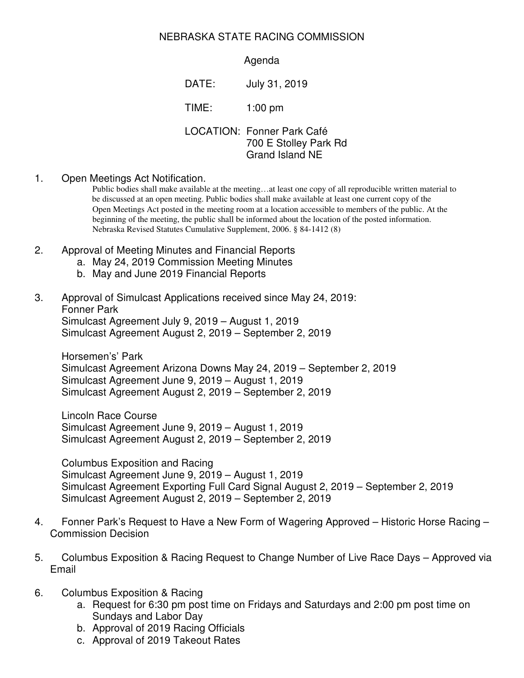## NEBRASKA STATE RACING COMMISSION

## Agenda

DATE: July 31, 2019

TIME: 1:00 pm

LOCATION: Fonner Park Café 700 E Stolley Park Rd Grand Island NE

1. Open Meetings Act Notification.

Public bodies shall make available at the meeting…at least one copy of all reproducible written material to be discussed at an open meeting. Public bodies shall make available at least one current copy of the Open Meetings Act posted in the meeting room at a location accessible to members of the public. At the beginning of the meeting, the public shall be informed about the location of the posted information. Nebraska Revised Statutes Cumulative Supplement, 2006. § 84-1412 (8)

- 2. Approval of Meeting Minutes and Financial Reports
	- a. May 24, 2019 Commission Meeting Minutes
	- b. May and June 2019 Financial Reports

## 3. Approval of Simulcast Applications received since May 24, 2019: Fonner Park

Simulcast Agreement July 9, 2019 – August 1, 2019 Simulcast Agreement August 2, 2019 – September 2, 2019

Horsemen's' Park Simulcast Agreement Arizona Downs May 24, 2019 – September 2, 2019 Simulcast Agreement June 9, 2019 – August 1, 2019 Simulcast Agreement August 2, 2019 – September 2, 2019

Lincoln Race Course Simulcast Agreement June 9, 2019 – August 1, 2019 Simulcast Agreement August 2, 2019 – September 2, 2019

Columbus Exposition and Racing Simulcast Agreement June 9, 2019 – August 1, 2019 Simulcast Agreement Exporting Full Card Signal August 2, 2019 – September 2, 2019 Simulcast Agreement August 2, 2019 – September 2, 2019

- 4. Fonner Park's Request to Have a New Form of Wagering Approved Historic Horse Racing Commission Decision
- 5. Columbus Exposition & Racing Request to Change Number of Live Race Days Approved via Email
- 6. Columbus Exposition & Racing
	- a. Request for 6:30 pm post time on Fridays and Saturdays and 2:00 pm post time on Sundays and Labor Day
	- b. Approval of 2019 Racing Officials
	- c. Approval of 2019 Takeout Rates